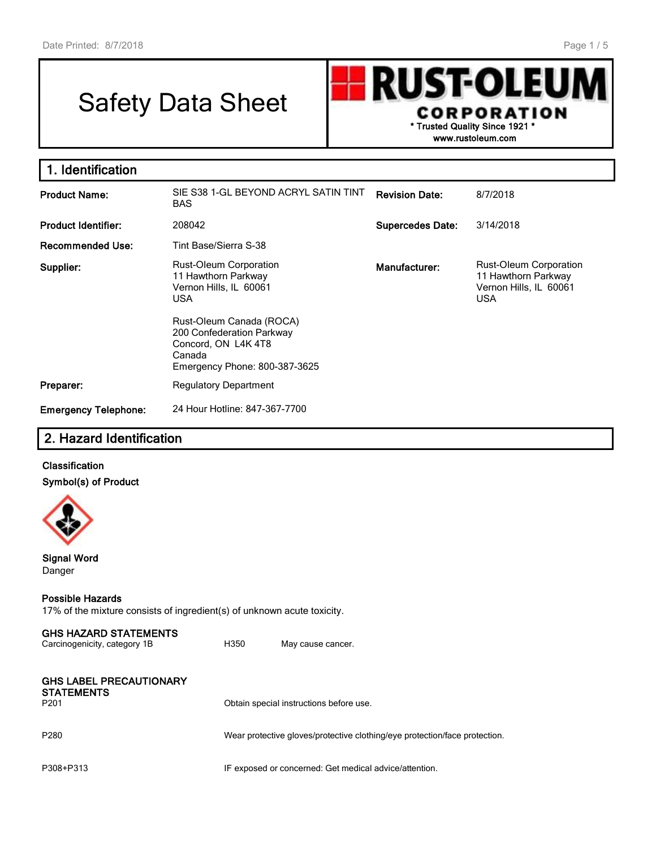# Safety Data Sheet

**RUST-OLEU CORPORATION \* Trusted Quality Since 1921 \***

**www.rustoleum.com**

| 1. Identification           |                                                                                                                        |                         |                                                                                       |
|-----------------------------|------------------------------------------------------------------------------------------------------------------------|-------------------------|---------------------------------------------------------------------------------------|
| <b>Product Name:</b>        | SIE S38 1-GL BEYOND ACRYL SATIN TINT<br>BAS.                                                                           | <b>Revision Date:</b>   | 8/7/2018                                                                              |
| <b>Product Identifier:</b>  | 208042                                                                                                                 | <b>Supercedes Date:</b> | 3/14/2018                                                                             |
| <b>Recommended Use:</b>     | Tint Base/Sierra S-38                                                                                                  |                         |                                                                                       |
| Supplier:                   | Rust-Oleum Corporation<br>11 Hawthorn Parkway<br>Vernon Hills, IL 60061<br><b>USA</b>                                  | Manufacturer:           | Rust-Oleum Corporation<br>11 Hawthorn Parkway<br>Vernon Hills, IL 60061<br><b>USA</b> |
|                             | Rust-Oleum Canada (ROCA)<br>200 Confederation Parkway<br>Concord, ON L4K4T8<br>Canada<br>Emergency Phone: 800-387-3625 |                         |                                                                                       |
| Preparer:                   | <b>Regulatory Department</b>                                                                                           |                         |                                                                                       |
| <b>Emergency Telephone:</b> | 24 Hour Hotline: 847-367-7700                                                                                          |                         |                                                                                       |

## **2. Hazard Identification**

**Classification Symbol(s) of Product**



**Signal Word** Danger

#### **Possible Hazards**

17% of the mixture consists of ingredient(s) of unknown acute toxicity.

| <b>GHS HAZARD STATEMENTS</b><br>Carcinogenicity, category 1B            | H350 | May cause cancer.                                                          |
|-------------------------------------------------------------------------|------|----------------------------------------------------------------------------|
| <b>GHS LABEL PRECAUTIONARY</b><br><b>STATEMENTS</b><br>P <sub>201</sub> |      | Obtain special instructions before use.                                    |
| P <sub>280</sub>                                                        |      | Wear protective gloves/protective clothing/eye protection/face protection. |
| P308+P313                                                               |      | IF exposed or concerned: Get medical advice/attention.                     |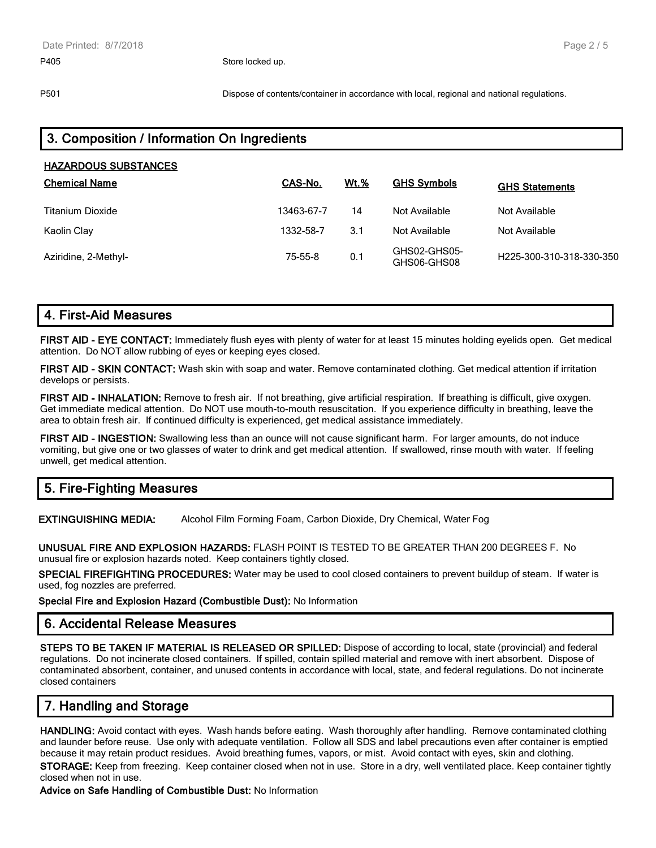P501 Dispose of contents/container in accordance with local, regional and national regulations.

| 3. Composition / Information On Ingredients |               |             |                             |                          |  |  |  |
|---------------------------------------------|---------------|-------------|-----------------------------|--------------------------|--|--|--|
| <b>HAZARDOUS SUBSTANCES</b>                 |               |             |                             |                          |  |  |  |
| <b>Chemical Name</b>                        | CAS-No.       | <b>Wt.%</b> | <b>GHS Symbols</b>          | <b>GHS Statements</b>    |  |  |  |
| Titanium Dioxide                            | 13463-67-7    | 14          | Not Available               | Not Available            |  |  |  |
| Kaolin Clay                                 | 1332-58-7     | 3.1         | Not Available               | Not Available            |  |  |  |
| Aziridine, 2-Methyl-                        | $75 - 55 - 8$ | 0.1         | GHS02-GHS05-<br>GHS06-GHS08 | H225-300-310-318-330-350 |  |  |  |

## **4. First-Aid Measures**

**FIRST AID - EYE CONTACT:** Immediately flush eyes with plenty of water for at least 15 minutes holding eyelids open. Get medical attention. Do NOT allow rubbing of eyes or keeping eyes closed.

**FIRST AID - SKIN CONTACT:** Wash skin with soap and water. Remove contaminated clothing. Get medical attention if irritation develops or persists.

**FIRST AID - INHALATION:** Remove to fresh air. If not breathing, give artificial respiration. If breathing is difficult, give oxygen. Get immediate medical attention. Do NOT use mouth-to-mouth resuscitation. If you experience difficulty in breathing, leave the area to obtain fresh air. If continued difficulty is experienced, get medical assistance immediately.

**FIRST AID - INGESTION:** Swallowing less than an ounce will not cause significant harm. For larger amounts, do not induce vomiting, but give one or two glasses of water to drink and get medical attention. If swallowed, rinse mouth with water. If feeling unwell, get medical attention.

## **5. Fire-Fighting Measures**

**EXTINGUISHING MEDIA:** Alcohol Film Forming Foam, Carbon Dioxide, Dry Chemical, Water Fog

**UNUSUAL FIRE AND EXPLOSION HAZARDS:** FLASH POINT IS TESTED TO BE GREATER THAN 200 DEGREES F. No unusual fire or explosion hazards noted. Keep containers tightly closed.

**SPECIAL FIREFIGHTING PROCEDURES:** Water may be used to cool closed containers to prevent buildup of steam. If water is used, fog nozzles are preferred.

**Special Fire and Explosion Hazard (Combustible Dust):** No Information

#### **6. Accidental Release Measures**

**STEPS TO BE TAKEN IF MATERIAL IS RELEASED OR SPILLED:** Dispose of according to local, state (provincial) and federal regulations. Do not incinerate closed containers. If spilled, contain spilled material and remove with inert absorbent. Dispose of contaminated absorbent, container, and unused contents in accordance with local, state, and federal regulations. Do not incinerate closed containers

## **7. Handling and Storage**

**HANDLING:** Avoid contact with eyes. Wash hands before eating. Wash thoroughly after handling. Remove contaminated clothing and launder before reuse. Use only with adequate ventilation. Follow all SDS and label precautions even after container is emptied because it may retain product residues. Avoid breathing fumes, vapors, or mist. Avoid contact with eyes, skin and clothing.

**STORAGE:** Keep from freezing. Keep container closed when not in use. Store in a dry, well ventilated place. Keep container tightly closed when not in use.

**Advice on Safe Handling of Combustible Dust:** No Information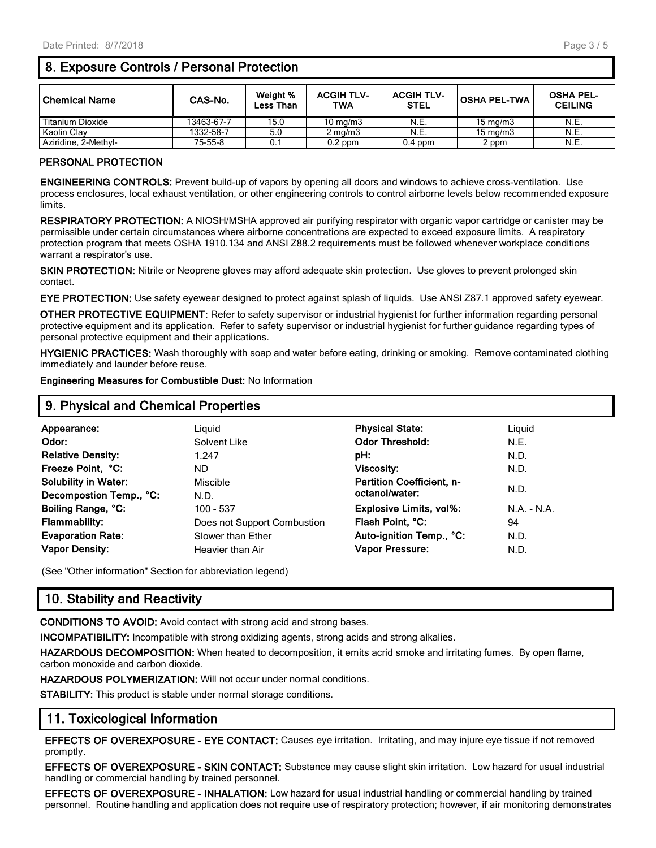## **8. Exposure Controls / Personal Protection**

| <b>Chemical Name</b> | CAS-No.    | Weight %<br><b>Less Than</b> | <b>ACGIH TLV-</b><br>TWA | <b>ACGIH TLV-</b><br><b>STEL</b> | <b>OSHA PEL-TWA</b> | <b>OSHA PEL-</b><br><b>CEILING</b> |
|----------------------|------------|------------------------------|--------------------------|----------------------------------|---------------------|------------------------------------|
| Titanium Dioxide     | 13463-67-7 | 15.0                         | $10 \text{ mg/m}$        | N.E.                             | $15 \text{ ma/m}$ 3 | N.E.                               |
| Kaolin Clay          | 1332-58-7  | 5.0                          | $2 \text{ ma/m}$ 3       | N.E.                             | $15 \text{ mg/m}$   | N.E.                               |
| Aziridine. 2-Methvl- | 75-55-8    | 0.1                          | 0.2 ppm                  | $0.4$ ppm                        | 2 ppm               | N.E.                               |

#### **PERSONAL PROTECTION**

**ENGINEERING CONTROLS:** Prevent build-up of vapors by opening all doors and windows to achieve cross-ventilation. Use process enclosures, local exhaust ventilation, or other engineering controls to control airborne levels below recommended exposure limits.

**RESPIRATORY PROTECTION:** A NIOSH/MSHA approved air purifying respirator with organic vapor cartridge or canister may be permissible under certain circumstances where airborne concentrations are expected to exceed exposure limits. A respiratory protection program that meets OSHA 1910.134 and ANSI Z88.2 requirements must be followed whenever workplace conditions warrant a respirator's use.

**SKIN PROTECTION:** Nitrile or Neoprene gloves may afford adequate skin protection. Use gloves to prevent prolonged skin contact.

**EYE PROTECTION:** Use safety eyewear designed to protect against splash of liquids. Use ANSI Z87.1 approved safety eyewear.

**OTHER PROTECTIVE EQUIPMENT:** Refer to safety supervisor or industrial hygienist for further information regarding personal protective equipment and its application. Refer to safety supervisor or industrial hygienist for further guidance regarding types of personal protective equipment and their applications.

**HYGIENIC PRACTICES:** Wash thoroughly with soap and water before eating, drinking or smoking. Remove contaminated clothing immediately and launder before reuse.

**Engineering Measures for Combustible Dust:** No Information

| 9. Physical and Chemical Properties |                             |                                  |            |  |  |
|-------------------------------------|-----------------------------|----------------------------------|------------|--|--|
| Appearance:                         | Liauid                      | <b>Physical State:</b>           | Liguid     |  |  |
| Odor:                               | Solvent Like                | <b>Odor Threshold:</b>           | N.E.       |  |  |
| <b>Relative Density:</b>            | 1.247                       | pH:                              | N.D.       |  |  |
| Freeze Point, °C:                   | ND.                         | <b>Viscosity:</b>                | N.D.       |  |  |
| <b>Solubility in Water:</b>         | Miscible                    | <b>Partition Coefficient, n-</b> |            |  |  |
| Decompostion Temp., °C:             | N.D.                        | octanol/water:                   | N.D.       |  |  |
| Boiling Range, °C:                  | $100 - 537$                 | Explosive Limits, vol%:          | $NA - N.A$ |  |  |
| <b>Flammability:</b>                | Does not Support Combustion | Flash Point, °C:                 | 94         |  |  |
| <b>Evaporation Rate:</b>            | Slower than Ether           | Auto-ignition Temp., °C:         | N.D.       |  |  |
| <b>Vapor Density:</b>               | Heavier than Air            | Vapor Pressure:                  | N.D.       |  |  |

(See "Other information" Section for abbreviation legend)

## **10. Stability and Reactivity**

**CONDITIONS TO AVOID:** Avoid contact with strong acid and strong bases.

**INCOMPATIBILITY:** Incompatible with strong oxidizing agents, strong acids and strong alkalies.

**HAZARDOUS DECOMPOSITION:** When heated to decomposition, it emits acrid smoke and irritating fumes. By open flame, carbon monoxide and carbon dioxide.

**HAZARDOUS POLYMERIZATION:** Will not occur under normal conditions.

**STABILITY:** This product is stable under normal storage conditions.

## **11. Toxicological Information**

**EFFECTS OF OVEREXPOSURE - EYE CONTACT:** Causes eye irritation. Irritating, and may injure eye tissue if not removed promptly.

**EFFECTS OF OVEREXPOSURE - SKIN CONTACT:** Substance may cause slight skin irritation. Low hazard for usual industrial handling or commercial handling by trained personnel.

**EFFECTS OF OVEREXPOSURE - INHALATION:** Low hazard for usual industrial handling or commercial handling by trained personnel. Routine handling and application does not require use of respiratory protection; however, if air monitoring demonstrates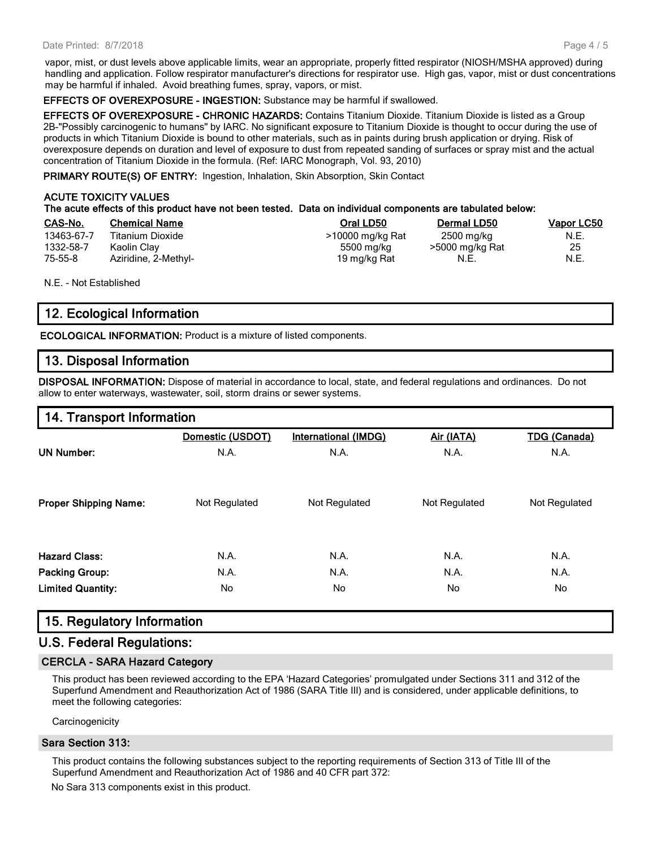vapor, mist, or dust levels above applicable limits, wear an appropriate, properly fitted respirator (NIOSH/MSHA approved) during handling and application. Follow respirator manufacturer's directions for respirator use. High gas, vapor, mist or dust concentrations may be harmful if inhaled. Avoid breathing fumes, spray, vapors, or mist.

#### **EFFECTS OF OVEREXPOSURE - INGESTION:** Substance may be harmful if swallowed.

**EFFECTS OF OVEREXPOSURE - CHRONIC HAZARDS:** Contains Titanium Dioxide. Titanium Dioxide is listed as a Group 2B-"Possibly carcinogenic to humans" by IARC. No significant exposure to Titanium Dioxide is thought to occur during the use of products in which Titanium Dioxide is bound to other materials, such as in paints during brush application or drying. Risk of overexposure depends on duration and level of exposure to dust from repeated sanding of surfaces or spray mist and the actual concentration of Titanium Dioxide in the formula. (Ref: IARC Monograph, Vol. 93, 2010)

**PRIMARY ROUTE(S) OF ENTRY:** Ingestion, Inhalation, Skin Absorption, Skin Contact

#### **ACUTE TOXICITY VALUES The acute effects of this product have not been tested. Data on individual components are tabulated below:**

| CAS-No.       | <b>Chemical Name</b> | Oral LD50        | Dermal LD50     | <b>Vapor LC50</b> |
|---------------|----------------------|------------------|-----------------|-------------------|
| 13463-67-7    | Titanium Dioxide     | >10000 mg/kg Rat | 2500 mg/kg      | N.E.              |
| 1332-58-7     | Kaolin Clay          | 5500 mg/kg       | >5000 mg/kg Rat | 25                |
| $75 - 55 - 8$ | Aziridine, 2-Methyl- | 19 mg/kg Rat     | N.E.            | N.E.              |

N.E. - Not Established

## **12. Ecological Information**

**ECOLOGICAL INFORMATION:** Product is a mixture of listed components.

## **13. Disposal Information**

**DISPOSAL INFORMATION:** Dispose of material in accordance to local, state, and federal regulations and ordinances. Do not allow to enter waterways, wastewater, soil, storm drains or sewer systems.

## **14. Transport Information**

|                              | Domestic (USDOT) | <b>International (IMDG)</b> | Air (IATA)    | <b>TDG (Canada)</b> |
|------------------------------|------------------|-----------------------------|---------------|---------------------|
| <b>UN Number:</b>            | N.A.             | N.A.                        | N.A.          | N.A.                |
| <b>Proper Shipping Name:</b> | Not Regulated    | Not Regulated               | Not Regulated | Not Regulated       |
| <b>Hazard Class:</b>         | N.A.             | N.A.                        | N.A.          | N.A.                |
| <b>Packing Group:</b>        | N.A.             | N.A.                        | N.A.          | N.A.                |
| <b>Limited Quantity:</b>     | No               | No.                         | No            | No                  |

## **15. Regulatory Information**

## **U.S. Federal Regulations:**

#### **CERCLA - SARA Hazard Category**

This product has been reviewed according to the EPA 'Hazard Categories' promulgated under Sections 311 and 312 of the Superfund Amendment and Reauthorization Act of 1986 (SARA Title III) and is considered, under applicable definitions, to meet the following categories:

**Carcinogenicity** 

#### **Sara Section 313:**

This product contains the following substances subject to the reporting requirements of Section 313 of Title III of the Superfund Amendment and Reauthorization Act of 1986 and 40 CFR part 372:

No Sara 313 components exist in this product.